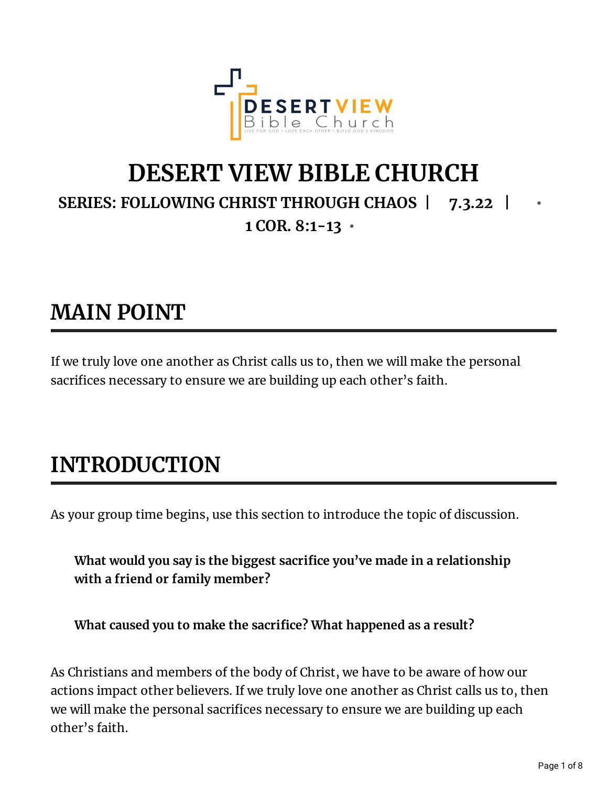

## **DESERT VIEW BIBLE CHURCH SERIES: FOLLOWING CHRIST THROUGH CHAOS | 7.3.22 | • 1 COR. 8:1-13 •**

## **MAIN POINT**

If we truly love one another as Christ calls us to, then we will make the personal sacrifices necessary to ensure we are building up each other's faith.

# **INTRODUCTION**

As your group time begins, use this section to introduce the topic of discussion.

**What would you say is the biggest sacrice you've made in a relationship with a friend or family member?**

**What caused you to make the sacrice? What happened as a result?**

As Christians and members of the body of Christ, we have to be aware of how our actions impact other believers. If we truly love one another as Christ calls us to, then we will make the personal sacrifices necessary to ensure we are building up each other's faith.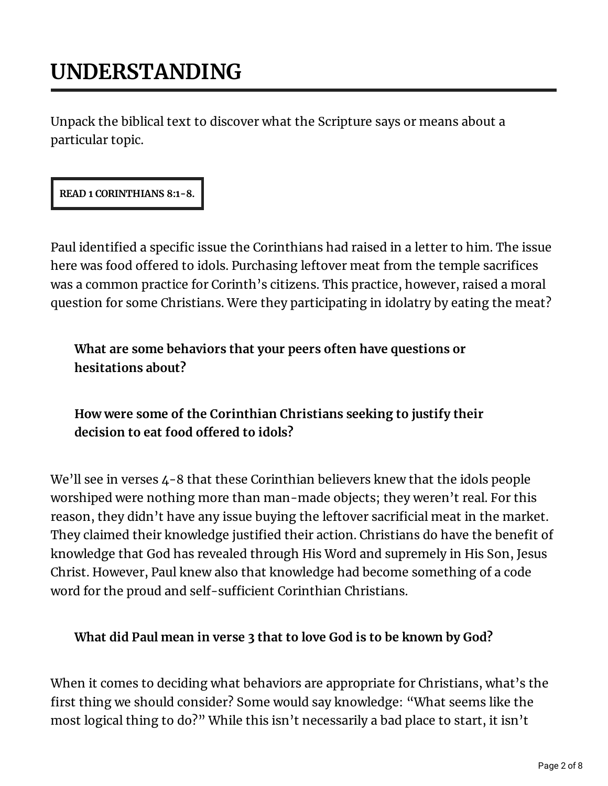# **UNDERSTANDING**

Unpack the biblical text to discover what the Scripture says or means about a particular topic.

#### **READ 1 CORINTHIANS 8:1-8.**

Paul identified a specific issue the Corinthians had raised in a letter to him. The issue here was food offered to idols. Purchasing leftover meat from the temple sacrifices was a common practice for Corinth's citizens. This practice, however, raised a moral question for some Christians. Were they participating in idolatry by eating the meat?

### **What are some behaviors that your peers often have questions or hesitations about?**

### **How were some of the Corinthian Christians seeking to justify their decision to eat food oered to idols?**

We'll see in verses 4-8 that these Corinthian believers knew that the idols people worshiped were nothing more than man-made objects; they weren't real. For this reason, they didn't have any issue buying the leftover sacrificial meat in the market. They claimed their knowledge justified their action. Christians do have the benefit of knowledge that God has revealed through His Word and supremely in His Son, Jesus Christ. However, Paul knew also that knowledge had become something of a code word for the proud and self-sufficient Corinthian Christians.

#### **What did Paul mean in verse 3 that to love God is to be known by God?**

When it comes to deciding what behaviors are appropriate for Christians, what's the first thing we should consider? Some would say knowledge: "What seems like the most logical thing to do?" While this isn't necessarily a bad place to start, it isn't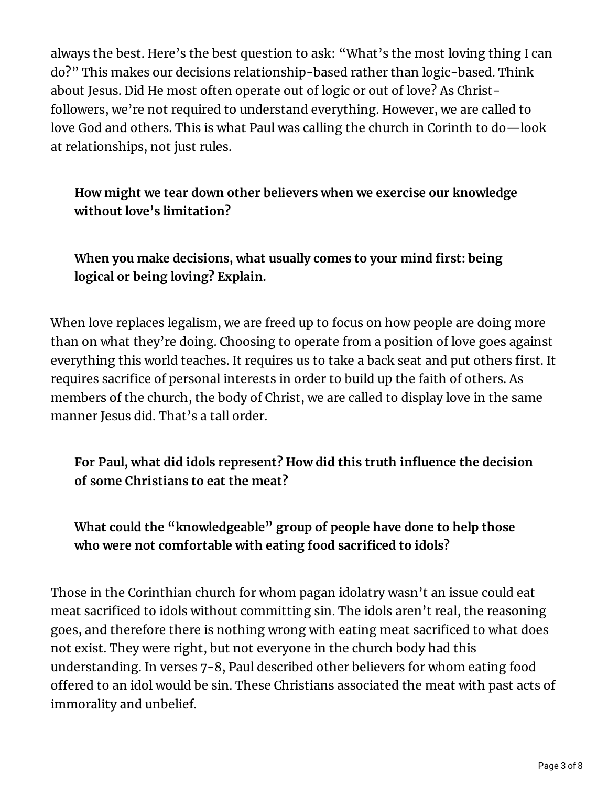always the best. Here's the best question to ask: "What's the most loving thing I can do?" This makes our decisions relationship-based rather than logic-based. Think about Jesus. Did He most often operate out of logic or out of love? As Christfollowers, we're not required to understand everything. However, we are called to love God and others. This is what Paul was calling the church in Corinth to do—look at relationships, not just rules.

**How might we tear down other believers when we exercise our knowledge without love's limitation?**

**When you make decisions, what usually comes to your mind rst: being logical or being loving? Explain.**

When love replaces legalism, we are freed up to focus on how people are doing more than on what they're doing. Choosing to operate from a position of love goes against everything this world teaches. It requires us to take a back seat and put others first. It requires sacrifice of personal interests in order to build up the faith of others. As members of the church, the body of Christ, we are called to display love in the same manner Jesus did. That's a tall order.

**For Paul, what did idols represent? How did this truth inuence the decision of some Christians to eat the meat?**

**What could the "knowledgeable" group of people have done to help those who were not comfortable with eating food sacriced to idols?**

Those in the Corinthian church for whom pagan idolatry wasn't an issue could eat meat sacrificed to idols without committing sin. The idols aren't real, the reasoning goes, and therefore there is nothing wrong with eating meat sacrificed to what does not exist. They were right, but not everyone in the church body had this understanding. In verses 7-8, Paul described other believers for whom eating food offered to an idol would be sin. These Christians associated the meat with past acts of immorality and unbelief.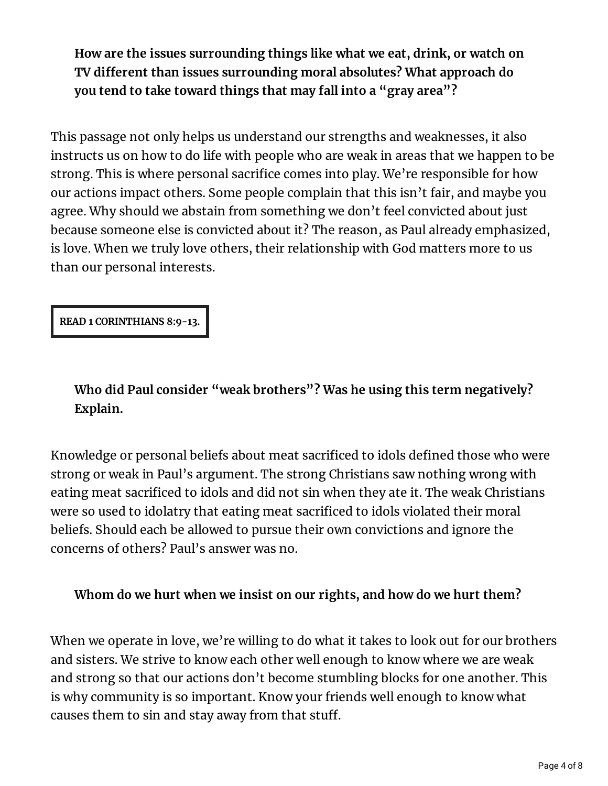**How are the issues surrounding things like what we eat, drink, or watch on TV dierent than issues surrounding moral absolutes? What approach do you tend to take toward things that may fall into a "gray area"?**

This passage not only helps us understand our strengths and weaknesses, it also instructs us on how to do life with people who are weak in areas that we happen to be strong. This is where personal sacrifice comes into play. We're responsible for how our actions impact others. Some people complain that this isn't fair, and maybe you agree. Why should we abstain from something we don't feel convicted about just because someone else is convicted about it? The reason, as Paul already emphasized, is love. When we truly love others, their relationship with God matters more to us than our personal interests.

**READ 1 CORINTHIANS 8:9-13.**

**Who did Paul consider "weak brothers"? Was he using this term negatively? Explain.**

Knowledge or personal beliefs about meat sacrificed to idols defined those who were strong or weak in Paul's argument. The strong Christians saw nothing wrong with eating meat sacrificed to idols and did not sin when they ate it. The weak Christians were so used to idolatry that eating meat sacrificed to idols violated their moral beliefs. Should each be allowed to pursue their own convictions and ignore the concerns of others? Paul's answer was no.

#### **Whom do we hurt when we insist on our rights, and how do we hurt them?**

When we operate in love, we're willing to do what it takes to look out for our brothers and sisters. We strive to know each other well enough to know where we are weak and strong so that our actions don't become stumbling blocks for one another. This is why community is so important. Know your friends well enough to know what causes them to sin and stay away from that stuff.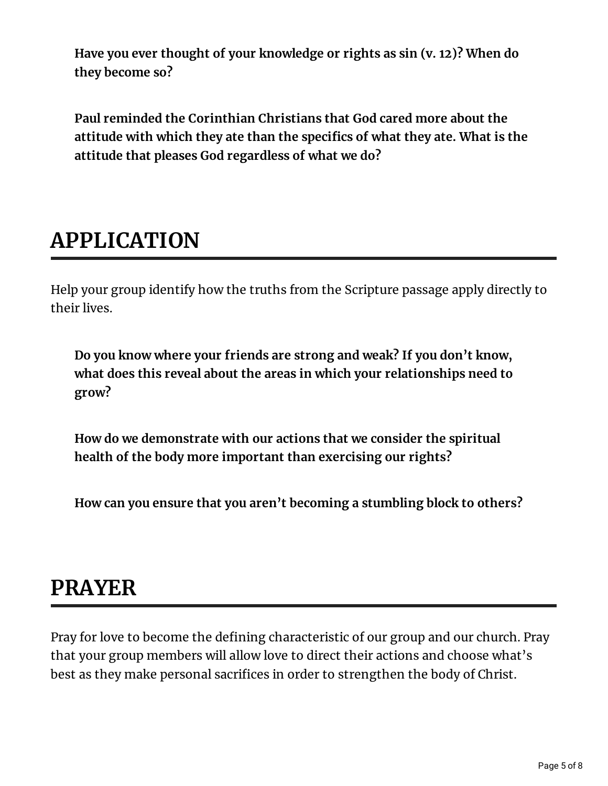**Have you ever thought of your knowledge or rights as sin (v. 12)? When do they become so?**

**Paul reminded the Corinthian Christians that God cared more about the attitude with which they ate than the specics of what they ate. What is the attitude that pleases God regardless of what we do?**

## **APPLICATION**

Help your group identify how the truths from the Scripture passage apply directly to their lives.

**Do you know where your friends are strong and weak? If you don't know, what does this reveal about the areas in which your relationships need to grow?**

**How do we demonstrate with our actions that we consider the spiritual health of the body more important than exercising our rights?**

**How can you ensure that you aren't becoming a stumbling block to others?**

### **PRAYER**

Pray for love to become the defining characteristic of our group and our church. Pray that your group members will allow love to direct their actions and choose what's best as they make personal sacrifices in order to strengthen the body of Christ.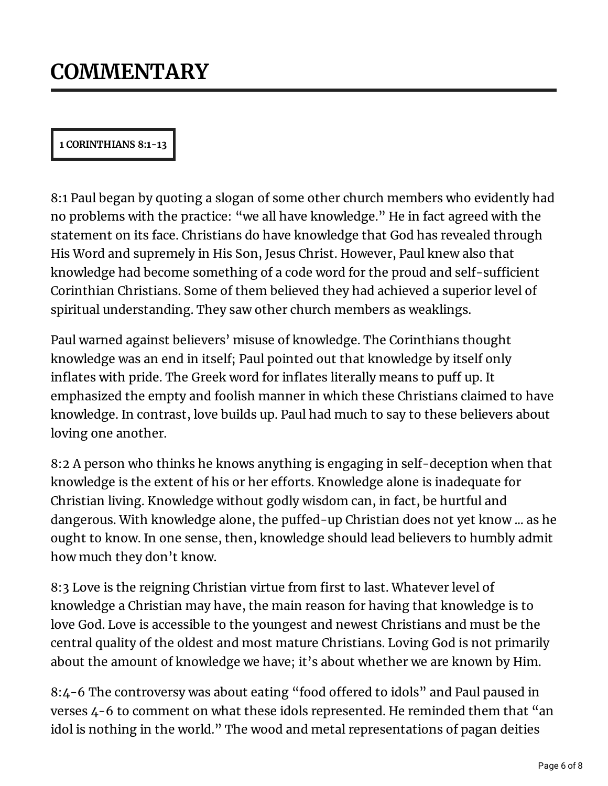#### **1 CORINTHIANS 8:1-13**

8:1 Paul began by quoting a slogan of some other church members who evidently had no problems with the practice: "we all have knowledge." He in fact agreed with the statement on its face. Christians do have knowledge that God has revealed through His Word and supremely in His Son, Jesus Christ. However, Paul knew also that knowledge had become something of a code word for the proud and self-sufficient Corinthian Christians. Some of them believed they had achieved a superior level of spiritual understanding. They saw other church members as weaklings.

Paul warned against believers' misuse of knowledge. The Corinthians thought knowledge was an end in itself; Paul pointed out that knowledge by itself only inflates with pride. The Greek word for inflates literally means to puff up. It emphasized the empty and foolish manner in which these Christians claimed to have knowledge. In contrast, love builds up. Paul had much to say to these believers about loving one another.

8:2 A person who thinks he knows anything is engaging in self-deception when that knowledge is the extent of his or her efforts. Knowledge alone is inadequate for Christian living. Knowledge without godly wisdom can, in fact, be hurtful and dangerous. With knowledge alone, the puffed-up Christian does not yet know ... as he ought to know. In one sense, then, knowledge should lead believers to humbly admit how much they don't know.

8:3 Love is the reigning Christian virtue from first to last. Whatever level of knowledge a Christian may have, the main reason for having that knowledge is to love God. Love is accessible to the youngest and newest Christians and must be the central quality of the oldest and most mature Christians. Loving God is not primarily about the amount of knowledge we have; it's about whether we are known by Him.

8:4-6 The controversy was about eating "food offered to idols" and Paul paused in verses 4-6 to comment on what these idols represented. He reminded them that "an idol is nothing in the world." The wood and metal representations of pagan deities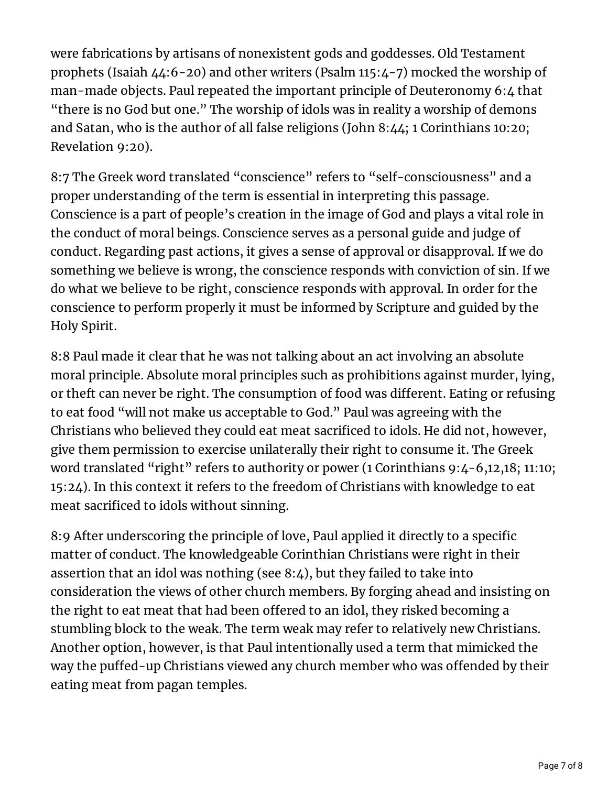were fabrications by artisans of nonexistent gods and goddesses. Old Testament prophets (Isaiah 44:6-20) and other writers (Psalm 115:4-7) mocked the worship of man-made objects. Paul repeated the important principle of Deuteronomy 6:4 that "there is no God but one." The worship of idols was in reality a worship of demons and Satan, who is the author of all false religions (John 8:44; 1 Corinthians 10:20; Revelation 9:20).

8:7 The Greek word translated "conscience" refers to "self-consciousness" and a proper understanding of the term is essential in interpreting this passage. Conscience is a part of people's creation in the image of God and plays a vital role in the conduct of moral beings. Conscience serves as a personal guide and judge of conduct. Regarding past actions, it gives a sense of approval or disapproval. If we do something we believe is wrong, the conscience responds with conviction of sin. If we do what we believe to be right, conscience responds with approval. In order for the conscience to perform properly it must be informed by Scripture and guided by the Holy Spirit.

8:8 Paul made it clear that he was not talking about an act involving an absolute moral principle. Absolute moral principles such as prohibitions against murder, lying, or theft can never be right. The consumption of food was different. Eating or refusing to eat food "will not make us acceptable to God." Paul was agreeing with the Christians who believed they could eat meat sacrificed to idols. He did not, however, give them permission to exercise unilaterally their right to consume it. The Greek word translated "right" refers to authority or power (1 Corinthians 9:4-6,12,18; 11:10; 15:24). In this context it refers to the freedom of Christians with knowledge to eat meat sacrificed to idols without sinning.

8:9 After underscoring the principle of love, Paul applied it directly to a specific matter of conduct. The knowledgeable Corinthian Christians were right in their assertion that an idol was nothing (see 8:4), but they failed to take into consideration the views of other church members. By forging ahead and insisting on the right to eat meat that had been offered to an idol, they risked becoming a stumbling block to the weak. The term weak may refer to relatively new Christians. Another option, however, is that Paul intentionally used a term that mimicked the way the puffed-up Christians viewed any church member who was offended by their eating meat from pagan temples.